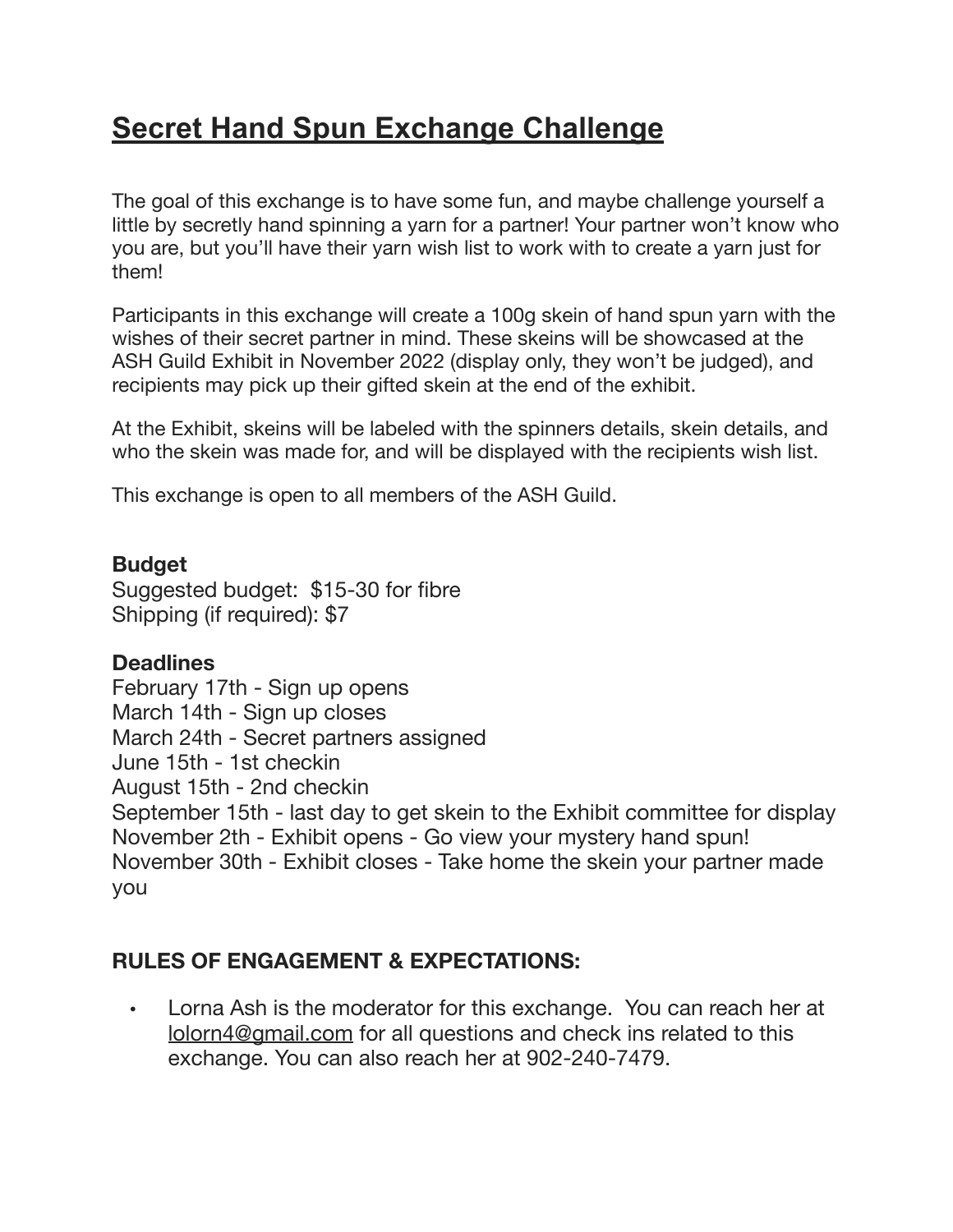## **Secret Hand Spun Exchange Challenge**

The goal of this exchange is to have some fun, and maybe challenge yourself a little by secretly hand spinning a yarn for a partner! Your partner won't know who you are, but you'll have their yarn wish list to work with to create a yarn just for them!

Participants in this exchange will create a 100g skein of hand spun yarn with the wishes of their secret partner in mind. These skeins will be showcased at the ASH Guild Exhibit in November 2022 (display only, they won't be judged), and recipients may pick up their gifted skein at the end of the exhibit.

At the Exhibit, skeins will be labeled with the spinners details, skein details, and who the skein was made for, and will be displayed with the recipients wish list.

This exchange is open to all members of the ASH Guild.

## **Budget**

Suggested budget: \$15-30 for fibre Shipping (if required): \$7

## **Deadlines**

February 17th - Sign up opens March 14th - Sign up closes March 24th - Secret partners assigned June 15th - 1st checkin August 15th - 2nd checkin September 15th - last day to get skein to the Exhibit committee for display November 2th - Exhibit opens - Go view your mystery hand spun! November 30th - Exhibit closes - Take home the skein your partner made you

## **RULES OF ENGAGEMENT & EXPECTATIONS:**

• Lorna Ash is the moderator for this exchange. You can reach her at [lolorn4@gmail.com](mailto:lolorn4@gmail.com) for all questions and check ins related to this exchange. You can also reach her at 902-240-7479.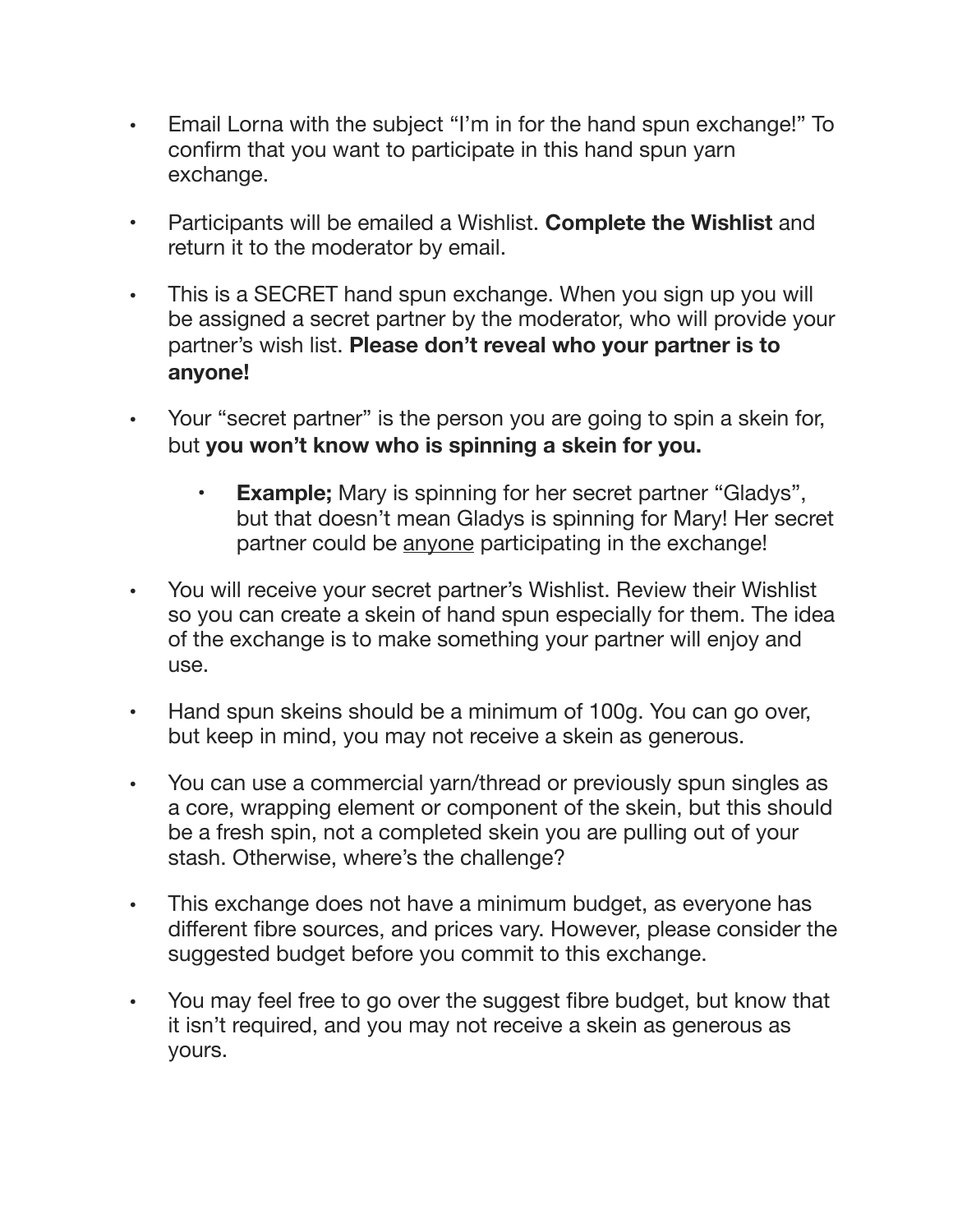- Email Lorna with the subject "I'm in for the hand spun exchange!" To confirm that you want to participate in this hand spun yarn exchange.
- Participants will be emailed a Wishlist. **Complete the Wishlist** and return it to the moderator by email.
- This is a SECRET hand spun exchange. When you sign up you will be assigned a secret partner by the moderator, who will provide your partner's wish list. **Please don't reveal who your partner is to anyone!**
- Your "secret partner" is the person you are going to spin a skein for, but **you won't know who is spinning a skein for you.** 
	- **Example;** Mary is spinning for her secret partner "Gladys", but that doesn't mean Gladys is spinning for Mary! Her secret partner could be anyone participating in the exchange!
- You will receive your secret partner's Wishlist. Review their Wishlist so you can create a skein of hand spun especially for them. The idea of the exchange is to make something your partner will enjoy and use.
- Hand spun skeins should be a minimum of 100g. You can go over, but keep in mind, you may not receive a skein as generous.
- You can use a commercial yarn/thread or previously spun singles as a core, wrapping element or component of the skein, but this should be a fresh spin, not a completed skein you are pulling out of your stash. Otherwise, where's the challenge?
- This exchange does not have a minimum budget, as everyone has different fibre sources, and prices vary. However, please consider the suggested budget before you commit to this exchange.
- You may feel free to go over the suggest fibre budget, but know that it isn't required, and you may not receive a skein as generous as yours.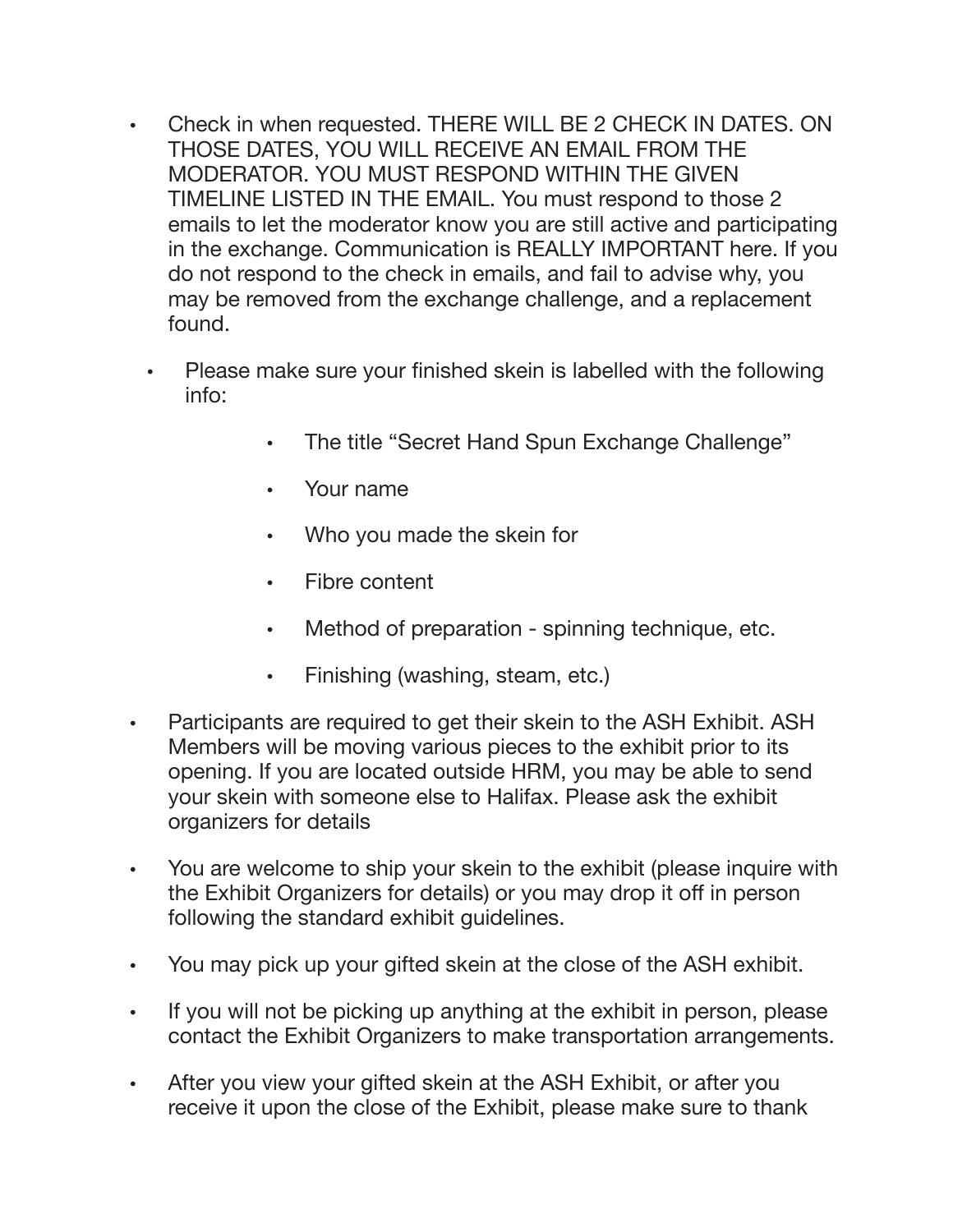- Check in when requested. THERE WILL BE 2 CHECK IN DATES. ON THOSE DATES, YOU WILL RECEIVE AN EMAIL FROM THE MODERATOR. YOU MUST RESPOND WITHIN THE GIVEN TIMELINE LISTED IN THE EMAIL. You must respond to those 2 emails to let the moderator know you are still active and participating in the exchange. Communication is REALLY IMPORTANT here. If you do not respond to the check in emails, and fail to advise why, you may be removed from the exchange challenge, and a replacement found.
	- Please make sure your finished skein is labelled with the following info:
		- The title "Secret Hand Spun Exchange Challenge"
		- Your name
		- Who you made the skein for
		- Fibre content
		- Method of preparation spinning technique, etc.
		- Finishing (washing, steam, etc.)
- Participants are required to get their skein to the ASH Exhibit. ASH Members will be moving various pieces to the exhibit prior to its opening. If you are located outside HRM, you may be able to send your skein with someone else to Halifax. Please ask the exhibit organizers for details
- You are welcome to ship your skein to the exhibit (please inquire with the Exhibit Organizers for details) or you may drop it off in person following the standard exhibit guidelines.
- You may pick up your gifted skein at the close of the ASH exhibit.
- If you will not be picking up anything at the exhibit in person, please contact the Exhibit Organizers to make transportation arrangements.
- After you view your gifted skein at the ASH Exhibit, or after you receive it upon the close of the Exhibit, please make sure to thank